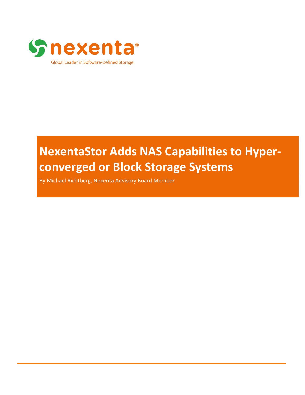

# **NexentaStor Adds NAS Capabilities to Hyperconverged or Block Storage Systems**

By Michael Richtberg, Nexenta Advisory Board Member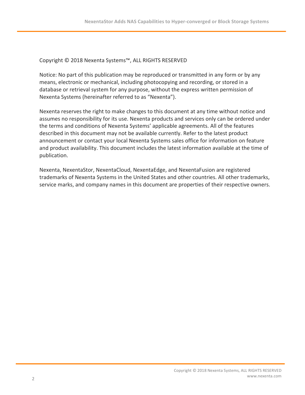#### Copyright © 2018 Nexenta Systems™, ALL RIGHTS RESERVED

Notice: No part of this publication may be reproduced or transmitted in any form or by any means, electronic or mechanical, including photocopying and recording, or stored in a database or retrieval system for any purpose, without the express written permission of Nexenta Systems (hereinafter referred to as "Nexenta").

Nexenta reserves the right to make changes to this document at any time without notice and assumes no responsibility for its use. Nexenta products and services only can be ordered under the terms and conditions of Nexenta Systems' applicable agreements. All of the features described in this document may not be available currently. Refer to the latest product announcement or contact your local Nexenta Systems sales office for information on feature and product availability. This document includes the latest information available at the time of publication.

Nexenta, NexentaStor, NexentaCloud, NexentaEdge, and NexentaFusion are registered trademarks of Nexenta Systems in the United States and other countries. All other trademarks, service marks, and company names in this document are properties of their respective owners.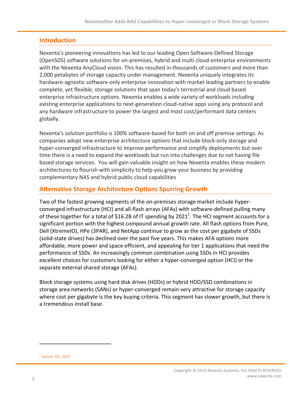# **Introduction**

Nexenta's pioneering innovations has led to our leading Open Software-Defined Storage (OpenSDS) software solutions for on-premises, hybrid and multi cloud enterprise environments with the Nexenta AnyCloud vision. This has resulted in thousands of customers and more than 2,000 petabytes of storage capacity under management. Nexenta uniquely integrates its hardware-agnostic software-only enterprise innovation with market leading partners to enable complete, yet flexible, storage solutions that span today's terrestrial and cloud based enterprise infrastructure options. Nexenta enables a wide variety of workloads including existing enterprise applications to next-generation cloud-native apps using any protocol and any hardware infrastructure to power the largest and most cost/performant data centers globally. 

Nexenta's solution portfolio is 100% software-based for both on and off premise settings. As companies adopt new enterprise architecture options that include block-only storage and hyper-converged infrastructure to improve performance and simplify deployments but over time there is a need to expand the workloads but run into challenges due to not having file based storage services. You will gain valuable insight on how Nexenta enables these modern architectures to flourish with simplicity to help you grow your business by providing complementary NAS and hybrid public cloud capabilities

# **Alternative Storage Architecture Options Spurring Growth**

Two of the fastest growing segments of the on-premises storage market include hyperconverged infrastructure (HCI) and all-flash arrays (AFAs) with software-defined pulling many of these together for a total of \$16.2B of IT spending by 2021<sup>1</sup>. The HCI segment accounts for a significant portion with the highest compound annual growth rate. All flash options from Pure, Dell (XtremeIO), HPe (3PAR), and NetApp continue to grow as the cost per gigabyte of SSDs (solid-state drives) has declined over the past five years. This makes AFA options more affordable, more power and space efficient, and appealing for tier 1 applications that need the performance of SSDs. An increasingly common combination using SSDs in HCI provides excellent choices for customers looking for either a hyper-converged option (HCI) or the separate external shared storage (AFAs).

Block storage systems using hard disk drives (HDDs) or hybrid HDD/SSD combinations in storage area networks (SANs) or hyper-converged remain very attractive for storage capacity where cost per gigabyte is the key buying criteria. This segment has slower growth, but there is a tremendous install base.

 

 $<sup>1</sup>$  Source: IDC, 2017</sup>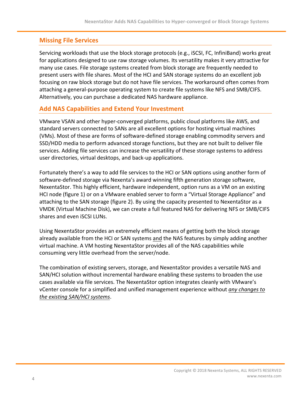# **Missing File Services**

Servicing workloads that use the block storage protocols (e.g., iSCSI, FC, InfiniBand) works great for applications designed to use raw storage volumes. Its versatility makes it very attractive for many use cases. File storage systems created from block storage are frequently needed to present users with file shares. Most of the HCI and SAN storage systems do an excellent job focusing on raw block storage but do not have file services. The workaround often comes from attaching a general-purpose operating system to create file systems like NFS and SMB/CIFS. Alternatively, you can purchase a dedicated NAS hardware appliance.

### **Add NAS Capabilities and Extend Your Investment**

VMware VSAN and other hyper-converged platforms, public cloud platforms like AWS, and standard servers connected to SANs are all excellent options for hosting virtual machines (VMs). Most of these are forms of software-defined storage enabling commodity servers and SSD/HDD media to perform advanced storage functions, but they are not built to deliver file services. Adding file services can increase the versatility of these storage systems to address user directories, virtual desktops, and back-up applications.

Fortunately there's a way to add file services to the HCI or SAN options using another form of software-defined storage via Nexenta's award winning fifth generation storage software, NexentaStor. This highly efficient, hardware independent, option runs as a VM on an existing HCI node (figure 1) or on a VMware enabled server to form a "Virtual Storage Appliance" and attaching to the SAN storage (figure 2). By using the capacity presented to NexentaStor as a VMDK (Virtual Machine Disk), we can create a full featured NAS for delivering NFS or SMB/CIFS shares and even iSCSI LUNs.

Using NexentaStor provides an extremely efficient means of getting both the block storage already available from the HCI or SAN systems and the NAS features by simply adding another virtual machine. A VM hosting NexentaStor provides all of the NAS capabilities while consuming very little overhead from the server/node.

The combination of existing servers, storage, and NexentaStor provides a versatile NAS and SAN/HCI solution without incremental hardware enabling these systems to broaden the use cases available via file services. The NexentaStor option integrates cleanly with VMware's vCenter console for a simplified and unified management experience without *any changes to the existing SAN/HCI systems*.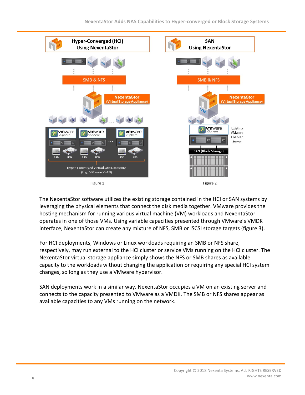

The NexentaStor software utilizes the existing storage contained in the HCI or SAN systems by leveraging the physical elements that connect the disk media together. VMware provides the hosting mechanism for running various virtual machine (VM) workloads and NexentaStor operates in one of those VMs. Using variable capacities presented through VMware's VMDK interface, NexentaStor can create any mixture of NFS, SMB or iSCSI storage targets (figure 3).

For HCI deployments, Windows or Linux workloads requiring an SMB or NFS share, respectively, may run external to the HCI cluster or service VMs running on the HCI cluster. The NexentaStor virtual storage appliance simply shows the NFS or SMB shares as available capacity to the workloads without changing the application or requiring any special HCI system changes, so long as they use a VMware hypervisor.

SAN deployments work in a similar way. NexentaStor occupies a VM on an existing server and connects to the capacity presented to VMware as a VMDK. The SMB or NFS shares appear as available capacities to any VMs running on the network.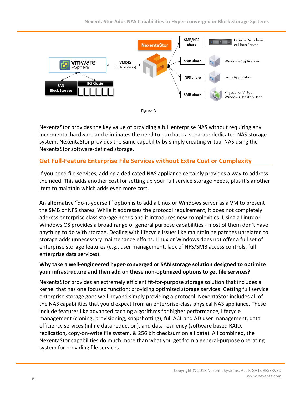



NexentaStor provides the key value of providing a full enterprise NAS without requiring any incremental hardware and eliminates the need to purchase a separate dedicated NAS storage system. NexentaStor provides the same capability by simply creating virtual NAS using the NexentaStor software-defined storage.

# **Get Full-Feature Enterprise File Services without Extra Cost or Complexity**

If you need file services, adding a dedicated NAS appliance certainly provides a way to address the need. This adds another cost for setting up your full service storage needs, plus it's another item to maintain which adds even more cost.

An alternative "do-it-yourself" option is to add a Linux or Windows server as a VM to present the SMB or NFS shares. While it addresses the protocol requirement, it does not completely address enterprise class storage needs and it introduces new complexities. Using a Linux or Windows OS provides a broad range of general purpose capabilities - most of them don't have anything to do with storage. Dealing with lifecycle issues like maintaining patches unrelated to storage adds unnecessary maintenance efforts. Linux or Windows does not offer a full set of enterprise storage features (e.g., user management, lack of NFS/SMB access controls, full enterprise data services).

#### Why take a well-engineered hyper-converged or SAN storage solution designed to optimize **your infrastructure and then add on these non-optimized options to get file services?**

NexentaStor provides an extremely efficient fit-for-purpose storage solution that includes a kernel that has one focused function: providing optimized storage services. Getting full service enterprise storage goes well beyond simply providing a protocol. NexentaStor includes all of the NAS capabilities that you'd expect from an enterprise-class physical NAS appliance. These include features like advanced caching algorithms for higher performance, lifecycle management (cloning, provisioning, snapshotting), full ACL and AD user management, data efficiency services (inline data reduction), and data resiliency (software based RAID, replication, copy-on-write file system, & 256 bit checksum on all data). All combined, the NexentaStor capabilities do much more than what you get from a general-purpose operating system for providing file services.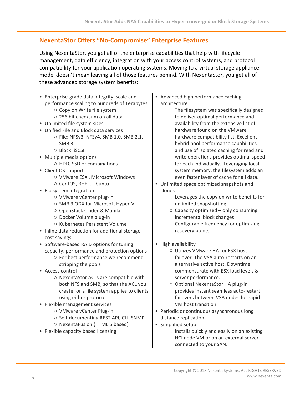# **NexentaStor Offers "No-Compromise" Enterprise Features**

Using NexentaStor, you get all of the enterprise capabilities that help with lifecycle management, data efficiency, integration with your access control systems, and protocol compatibility for your application operating systems. Moving to a virtual storage appliance model doesn't mean leaving all of those features behind. With NexentaStor, you get all of these advanced storage system benefits:

| • Enterprise-grade data integrity, scale and<br>performance scaling to hundreds of Terabytes | • Advanced high performance caching<br>architecture                        |
|----------------------------------------------------------------------------------------------|----------------------------------------------------------------------------|
| ○ Copy on Write file system                                                                  | o The filesystem was specifically designed                                 |
| ○ 256 bit checksum on all data                                                               | to deliver optimal performance and                                         |
| • Unlimited file system sizes                                                                | availability from the extensive list of                                    |
| • Unified File and Block data services                                                       | hardware found on the VMware                                               |
| O File: NFSv3, NFSv4, SMB 1.0, SMB 2.1,                                                      | hardware compatibility list. Excellent                                     |
| SMB <sub>3</sub>                                                                             | hybrid pool performance capabilities                                       |
| O Block: iSCSI                                                                               | and use of isolated caching for read and                                   |
| • Multiple media options                                                                     | write operations provides optimal speed                                    |
| ○ HDD, SSD or combinations                                                                   | for each individually. Leveraging local                                    |
| • Client OS support                                                                          | system memory, the filesystem adds an                                      |
| O VMware ESXi, Microsoft Windows                                                             | even faster layer of cache for all data.                                   |
| O CentOS, RHEL, Ubuntu                                                                       | • Unlimited space optimized snapshots and                                  |
| • Ecosystem integration                                                                      | clones                                                                     |
| ○ VMware vCenter plug-in                                                                     | ○ Leverages the copy on write benefits for                                 |
| ○ SMB 3 ODX for Microsoft Hyper-V                                                            | unlimited snapshotting                                                     |
| O OpenStack Cinder & Manila                                                                  | ○ Capacity optimized – only consuming                                      |
| O Docker Volume plug-in                                                                      | incremental block changes                                                  |
| ○ Kubernetes Persistent Volume                                                               | o Configurable frequency for optimizing                                    |
| • Inline data reduction for additional storage                                               | recovery points                                                            |
| cost savings                                                                                 |                                                                            |
| • Software-based RAID options for tuning                                                     | • High availability                                                        |
| capacity, performance and protection options                                                 | O Utilizes VMware HA for ESX host                                          |
| o For best performance we recommend                                                          | failover. The VSA auto-restarts on an<br>alternative active host. Downtime |
| stripping the pools<br>• Access control                                                      | commensurate with ESX load levels &                                        |
| O NexentaStor ACLs are compatible with                                                       | server performance.                                                        |
| both NFS and SMB, so that the ACL you                                                        | O Optional NexentaStor HA plug-in                                          |
| create for a file system applies to clients                                                  | provides instant seamless auto-restart                                     |
| using either protocol                                                                        | failovers between VSA nodes for rapid                                      |
| • Flexible management services                                                               | VM host transition.                                                        |
| ○ VMware vCenter Plug-in                                                                     | • Periodic or continuous asynchronous long                                 |
| ○ Self-documenting REST API, CLI, SNMP                                                       | distance replication                                                       |
| O NexentaFusion (HTML 5 based)                                                               | • Simplified setup                                                         |
| • Flexible capacity based licensing                                                          | o Installs quickly and easily on an existing                               |
|                                                                                              | HCI node VM or on an external server                                       |
|                                                                                              | connected to your SAN.                                                     |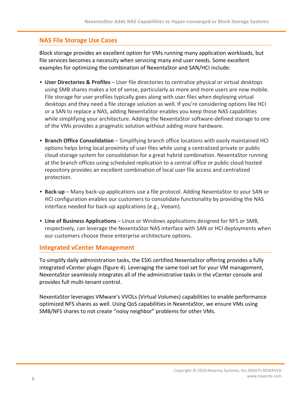# **NAS File Storage Use Cases**

Block storage provides an excellent option for VMs running many application workloads, but file services becomes a necessity when servicing many end user needs. Some excellent examples for optimizing the combination of NexentaStor and SAN/HCI include:

- User Directories & Profiles User file directories to centralize physical or virtual desktops using SMB shares makes a lot of sense, particularly as more and more users are now mobile. File storage for user profiles typically goes along with user files when deploying virtual desktops and they need a file storage solution as well. If you're considering options like HCI or a SAN to replace a NAS, adding NexentaStor enables you keep those NAS capabilities while simplifying your architecture. Adding the NexentaStor software-defined storage to one of the VMs provides a pragmatic solution without adding more hardware.
- **Branch Office Consolidation** Simplifying branch office locations with easily maintained HCI options helps bring local proximity of user files while using a centralized private or public cloud storage system for consolidation for a great hybrid combination. NexentaStor running at the branch offices using scheduled replication to a central office or public cloud hosted repository provides an excellent combination of local user file access and centralized protection.
- **Back-up** Many back-up applications use a file protocol. Adding NexentaStor to your SAN or HCI configuration enables our customers to consolidate functionality by providing the NAS interface needed for back-up applications (e.g., Veeam).
- Line of Business Applications Linux or Windows applications designed for NFS or SMB, respectively, can leverage the NexentaStor NAS interface with SAN or HCI deployments when our customers choose these enterprise architecture options.

### **Integrated vCenter Management**

To simplify daily administration tasks, the ESXi certified NexentaStor offering provides a fully integrated vCenter plugin (figure 4). Leveraging the same tool set for your VM management, NexentaStor seamlessly integrates all of the administrative tasks in the vCenter console and provides full multi-tenant control.

NexentaStor leverages VMware's VVOLs (Virtual Volumes) capabilities to enable performance optimized NFS shares as well. Using QoS capabilities in NexentaStor, we ensure VMs using SMB/NFS shares to not create "noisy neighbor" problems for other VMs.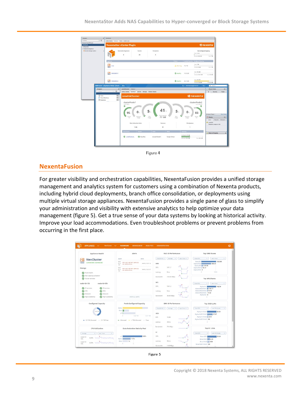| $\cdot$ 0<br>4 Home<br><b>Newota Plugin Manager</b><br>Dashboard<br>Configuration | Getting Stated Summary Tasks SystemLogs              | <b>NexentaStor vCenter Plugin</b>                                                     |                      |                                            |                           |                                      |                                                                                             | <b>Gnexenta</b>                                                      |                                                       |
|-----------------------------------------------------------------------------------|------------------------------------------------------|---------------------------------------------------------------------------------------|----------------------|--------------------------------------------|---------------------------|--------------------------------------|---------------------------------------------------------------------------------------------|----------------------------------------------------------------------|-------------------------------------------------------|
| - Newota Star Appliance<br><sup>7</sup> Newto Strage Systems                      |                                                      | NexentaStor Appliances<br>$\overline{\mathbf{z}}$                                     | Volumes<br>20        | <b>File Systems</b><br>5                   |                           |                                      | <b>Host Configured Capacity</b><br>Total 2.8 Fig.<br>Attorney 40.6 GM                       | Free 7 hm                                                            |                                                       |
|                                                                                   | Appliers<br>쁦 …                                      |                                                                                       |                      |                                            | 1.11<br>A Warning 7.3 TiB |                                      | <b>Notated Capacity Cantigured Capacity</b><br>Total 778<br>Abouted: 6 GM                   | For 778                                                              |                                                       |
|                                                                                   | <b>WEB</b> NSSQA33-1                                 |                                                                                       |                      |                                            | <b>C</b> Healthy          | 19.9 GiB                             | Total 19.3 Gdf<br>Allocated 245.5 Kill                                                      | Free: 19.3 GM                                                        |                                                       |
|                                                                                   | NSSQA33-2                                            |                                                                                       |                      |                                            | Healthy 44.7 GiB          |                                      | Total 45.3 Gib<br>Alconno 34.6 GB                                                           | Free 8.7 GM                                                          |                                                       |
| Nevigator<br>4 Honory                                                             | <b>vm</b> ware: vSphere Web Client<br>x<br>$\cdot$ 0 | 青玉<br>newHACluster Actors -<br>Getting Started Summary Monitor Manage Related Objects |                      |                                            |                           |                                      | U   Administrator@VOS1GA =   Help +                                                         | Q Starch<br><b>Recent Tasks</b><br>$\overline{M}$<br>Running         | $x \times$<br>Faled                                   |
| <b>D</b> Hosts                                                                    | EIO                                                  | newHACluster                                                                          |                      |                                            |                           |                                      |                                                                                             |                                                                      |                                                       |
| <b>CD</b> Virtual Machines<br><b>El Datastores</b>                                | <b>EEO</b><br>600                                    | clusterNode1<br>10.3.196.6<br>O<br>$0 -$<br>95<br>Cache<br>Nietwork.<br>142<br>Usage  | $5 -$<br>ON<br>Usage | 41 <sub>1</sub><br>Тола! сарасту:<br>77 GB | 5.<br>cru<br>Usage        | 0<br>Nietwork<br>Usage               | <b>Gnexenta</b><br>clusterNode2<br>10.3.196.23<br>o<br>$\blacksquare$<br>83<br>Cache<br>145 | At Users' Tasks =<br><b>C</b> Alarma<br>AE (T)<br>$\Delta$ local-203 |                                                       |
|                                                                                   |                                                      | <b>Data Reduction Ratio</b><br>1.3x<br><b>Fool Name</b>                               | Health               | <b>Volumes</b><br>o<br>Node                | <b>Luo</b>                | <b>File Systems</b><br>1<br>Capacity |                                                                                             | Datastore usage on disk<br>/ Work in Progress                        | <b>More Tasks</b><br>$\mathbf{X}$<br>New (1) Acknowl. |

Figure 4

#### **NexentaFusion**

For greater visibility and orchestration capabilities, NexentaFusion provides a unified storage management and analytics system for customers using a combination of Nexenta products, including hybrid cloud deployments, branch office consolidation, or deployments using multiple virtual storage appliances. NexentaFusion provides a single pane of glass to simplify your administration and visibility with extensive analytics to help optimize your data management (figure 5). Get a true sense of your data systems by looking at historical activity. Improve your load accommodations. Even troubleshoot problems or prevent problems from occurring in the first place.

| <b>APPLIANCE</b>                                         |                                                                                                  |                                                            |                                                                |
|----------------------------------------------------------|--------------------------------------------------------------------------------------------------|------------------------------------------------------------|----------------------------------------------------------------|
| Appliance Health                                         | Alerts                                                                                           | NAS IO Performance                                         | <b>Top SMB Shares</b>                                          |
| $\overline{\phantom{a}}$<br><b>NexCluster</b>            | <b>ALERT</b><br><b>DATE</b>                                                                      | Total (R+W) ~<br>Last I hour w.<br>Average<br>$\checkmark$ | Total IOPs<br>$\sim$<br>Last 1 hour<br>$\sim$                  |
| <br>---<br>connected, connected<br>                      | NOD<br><b>RSF-1 HOT RESTART: SERVICES</b><br>MAR 2, 10:37:12<br>$E-1O$<br>MAY BE RUNNING.<br>170 | SMR                                                        | 1032.68<br>Beta/B1<br>684.41<br>Alpha/HS2<br>Alpha/A3   139.96 |
| Storage                                                  | NOO<br>RSF-1 HOT RESTART: SERVICES<br>MAR 2, 10:37:07<br>$E-1O$<br>MAY BE RUNNING<br>175         | OPS<br>1971.7<br>Latency<br>Oms.                           | Alpha/HS1 30.37<br>Alpha/HS3 0<br>1000<br>$\overline{a}$       |
| Pools health<br>$\circ$<br>ø<br>Raw capacity utilization |                                                                                                  |                                                            |                                                                |
| Ο<br>Cluster services                                    |                                                                                                  | 100.68 MBps<br>Bandwidth                                   | <b>Top NFS Shares</b>                                          |
| node-10-175<br>node-10-170                               |                                                                                                  | <b>NFS</b>                                                 | Total IOPs<br>Last 1 hour<br>$\sim$<br>w.                      |
| IO services<br>10 services<br>ø                          |                                                                                                  | 1961.2<br>OPS                                              | 742.54<br>Alpha/A1<br>Alpha/A4/child1 130.77                   |
| ø<br>CPU<br><b>O</b> CPU<br>Network<br>Network           |                                                                                                  | 5ms<br>Latency                                             | Alpha/A4/child2 21.11<br>Alpha/A4/child3 11.52                 |
| High availability<br>High availability                   | SHOW ALL ALERTS                                                                                  | 38.85 MBos<br>Bandwidth                                    | Alpha/A4 0                                                     |
| Configured Capacity                                      | Pools Configured Capacity                                                                        | SAN IO Performance                                         | Top ISCSI LUNs                                                 |
|                                                          | Alpha<br>Beta III                                                                                | Total (R+W). V<br>Lait Thour ~<br>Average<br>$\sim$        | Total IOPs<br>v.<br>Last 30 minutes<br>$\sim$                  |
| 6.1478                                                   | p1                                                                                               | iscsi                                                      | Alpha/v1/Vol1<br>29.58<br>Alpha/AGR1/Vol1 17.37                |
|                                                          | 1.82 TiB<br>3.51 T/B<br>n                                                                        | OPS<br>10.88                                               | Alpha/v1/Vol2 4.11                                             |
| $-3.0$ T/B Allocated $-3.2$ T/B Free                     | $M_{\rm 1000}$ = >75% Allocated = Free                                                           | 33ms<br>Latency<br><b>List</b>                             | Alpha/AGR1/Vol2 0.6                                            |
| CPU Utilization                                          | Data Reduction Ratio by Pool                                                                     | 716 KBps<br><b>Bandwidth</b>                               | Top FC LUNs                                                    |
| Last Thour<br>Average<br>16.1<br>$\sim$                  |                                                                                                  | FC                                                         | Total IOPs<br>Last 30 minutes<br>$\sim$<br>$\sim$              |
| node-10-                                                 | 1.67x<br>n1<br>Alpha <sup>1</sup><br>1.51x                                                       | OPS<br>21.91                                               | 23.64<br>Beta/GFS                                              |
| asso mummy<br>175<br>node-10-                            | Beta<br>1x                                                                                       | 36ms<br>Latency                                            | Beta/Vol1 6.55<br>Beta/Vol2 5.53                               |
| 170                                                      | 6                                                                                                | 1.48 MBps<br>Bandwidth                                     | Beta/AGR1/Vol2 0.6                                             |

| øur |
|-----|
|-----|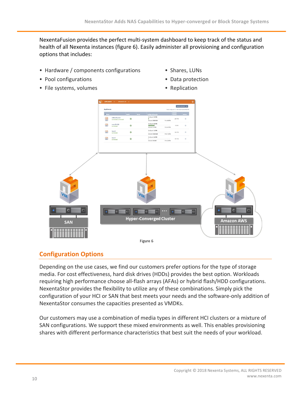NexentaFusion provides the perfect multi-system dashboard to keep track of the status and health of all Nexenta instances (figure 6). Easily administer all provisioning and configuration options that includes:

- Hardware / components configurations
- Pool configurations
- File systems, volumes
- Shares, LUNs
- Data protection
- Replication



# **Configuration Options**

Depending on the use cases, we find our customers prefer options for the type of storage media. For cost effectiveness, hard disk drives (HDDs) provides the best option. Workloads requiring high performance choose all-flash arrays (AFAs) or hybrid flash/HDD configurations. NexentaStor provides the flexibility to utilize any of these combinations. Simply pick the configuration of your HCI or SAN that best meets your needs and the software-only addition of NexentaStor consumes the capacities presented as VMDKs.

Our customers may use a combination of media types in different HCI clusters or a mixture of SAN configurations. We support these mixed environments as well. This enables provisioning shares with different performance characteristics that best suit the needs of your workload.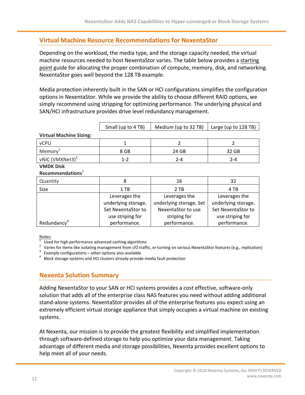# **Virtual Machine Resource Recommendations for NexentaStor**

Depending on the workload, the media type, and the storage capacity needed, the virtual machine resources needed to host NexentaStor varies. The table below provides a starting point guide for allocating the proper combination of compute, memory, disk, and networking. NexentaStor goes well beyond the 128 TB example.

Media protection inherently built in the SAN or HCI configurations simplifies the configuration options in NexentaStor. While we provide the ability to choose different RAID options, we simply recommend using stripping for optimizing performance. The underlying physical and SAN/HCI infrastructure provides drive level redundancy management.

| Small (up to 4 TB) $\parallel$ Medium (up to 32 TB) $\parallel$ Large (up to 128 TB) |  |
|--------------------------------------------------------------------------------------|--|

**Virtual Machine Sizing:**

| --                          |         |       |       |
|-----------------------------|---------|-------|-------|
| vCPU                        |         |       |       |
| Memory <sup>-</sup>         | 8 GB    | 24 GB | 32 GB |
| vNIC (VMXNet3) <sup>2</sup> | $1 - 2$ | 2-4   | 2-4   |
| $MMDV$ $D(A)$               |         |       |       |

#### **VMDK Disk Recommendations**<sup>3</sup>

| Quantity                | 8                   | 16                      | 32                  |
|-------------------------|---------------------|-------------------------|---------------------|
| Size                    | 1 TB                | 2 TB                    | 4 TB                |
|                         | Leverages the       | Leverages the           | Leverages the       |
|                         | underlying storage. | underlying storage. Set | underlying storage. |
|                         | Set NexentaStor to  | NexentaStor to use      | Set NexentaStor to  |
|                         | use striping for    | striping for            | use striping for    |
| Redundancy <sup>4</sup> | performance.        | performance.            | performance.        |

 $\frac{ \text{Notes:}}{ \text{I} }$  Used for high performance advanced caching algorithms

<sup>2</sup> Varies for items like isolating management from I/O traffic, or turning on various NexentaStor features (e.g., replication)<br><sup>3</sup> Example configurations – other options also available<br><sup>4</sup> Block storage systems and HCI c

# **Nexenta Solution Summary**

Adding NexentaStor to your SAN or HCI systems provides a cost effective, software-only solution that adds all of the enterprise class NAS features you need without adding additional stand-alone systems. NexentaStor provides all of the enterprise features you expect using an extremely efficient virtual storage appliance that simply occupies a virtual machine on existing systems.

At Nexenta, our mission is to provide the greatest flexibility and simplified implementation through software-defined storage to help you optimize your data management. Taking advantage of different media and storage possibilities, Nexenta provides excellent options to help meet all of your needs.